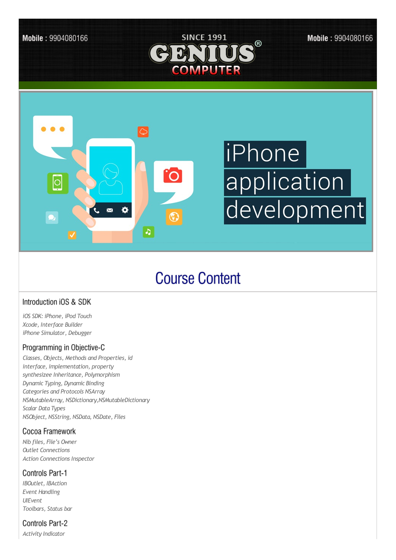

# **Course Content**

## Introduction iOS & SDK

*iOS SDK: iPhone, iPod Touch Xcode, Interface Builder iPhone Simulator, Debugger*

### Programming in Objective-C

*Classes, Objects, Methods and Properties, id interface, implementation, property synthesizee Inheritance, Polymorphism Dynamic Typing, Dynamic Binding Categories and Protocols NSArray NSMutableArray, NSDictionary,NSMutableDictionary Scalar Data Types NSObject, NSString, NSData, NSDate, Files*

## Cocoa Framework

*Nib files, File's Owner Outlet Connections Action Connections Inspector*

### **Controls Part-1**

*IBOutlet, IBAction Event Handling UIEvent Toolbars, Status bar*

### Controls Part-2

*Activity Indicator*